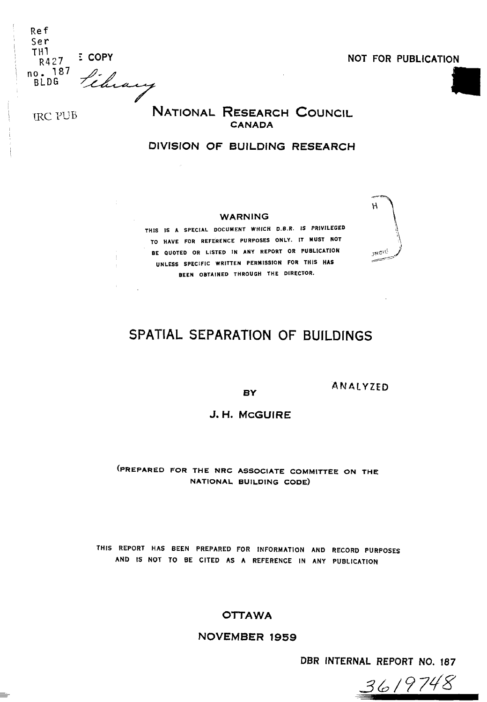| <b>Ref</b>  |               |
|-------------|---------------|
| Ser<br>TH1  |               |
| R427        | <b>E COPY</b> |
| 187<br>no.  |               |
| <b>BLDG</b> |               |
|             |               |

 $\mathbb{R}^2$ 

I

**NOT FOR PUBLICATION** 

TRC PUB<sup>ter 2</sup> **NATIONAL RESEARCH COUNCIL CANADA** 

## **DIVISION OF BUILDING RESEARCH**

#### **WARNING**

**THlS IS A SPECIAL DOCUMENT WHICH D.B.R. IS PRIVILEGED**  TO HAVE FOR REFERENCE PURPOSES ONLY. IT MUST NOT **BE QUOTED OR LISTED IN ANY REPORT OR PUBLICATION UNLESS SPECIFIC WRITTEN PERMISSION FOR THIS HAS** / **BEEN OBTAINED THROUGH THE DIRECTOR.** 



# **SPATIAL SEPARATION** OF **BUILDlNGS**

**BY** 

**ANALYZED** 

J.H. MCGUIRE

(PREPARED FOR THE NRC ASSOCIATE COMMITTEE ON THE NATIONAL BUILDING CODE)

**THlS REPORT HAS BEEN PREPARED FOR INFORMATION AND RECORD PURPOSES AND IS NOT TO BE CITED AS A REFERENCE IN ANY PUBLICATION** 

**OTTAWA** 

**NOVEMBER 1959** 

**DBR INTERNAL REPORT NO. 187** 

3619748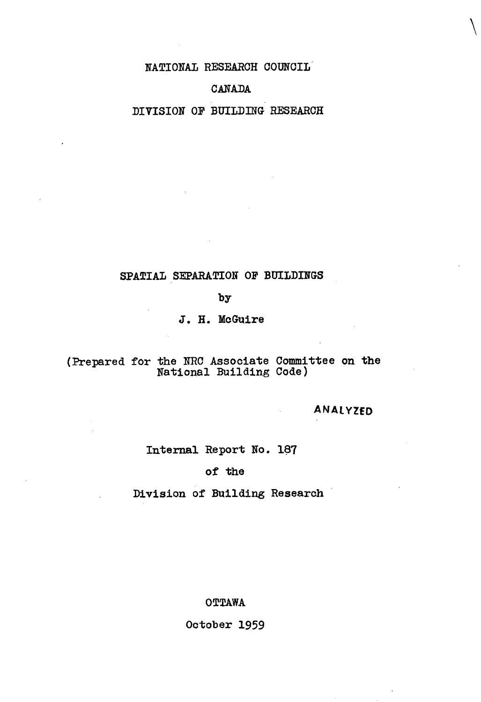**NATIONAL RESEARCH COUNCIL** 

## **CANADA**

## **DIVISION OF BUILDING RESEARCR**

## **SPATIAL SEPARATION OF BUILDINGS**

**by** 

J. H. McGuire

## **(Prepared for the BRC Associate Committee on the National Building Code)**

**ANALYZED** 

## **Internal Report No. 187**

## **of the**

## **Division of Building Research**

**OT'PAWA** 

**October 1959**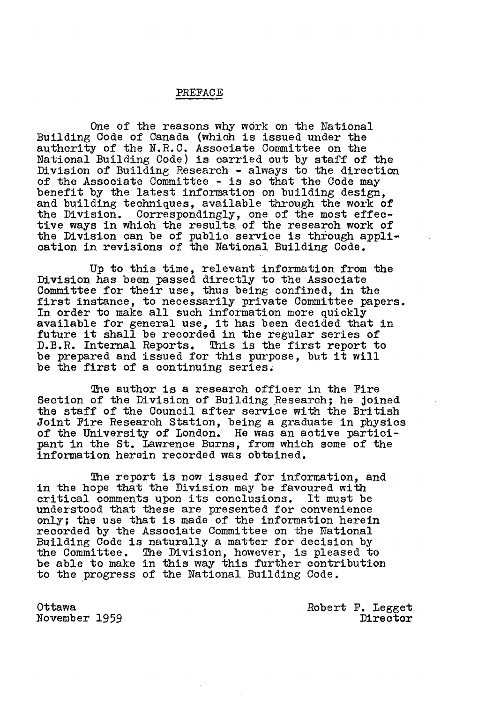#### PREFACE

One of the reasons **why** work on the National Building Code of Canada (which is issued under the authority of the **N.R.C.** Associate Committee on the National Building Code) is carried out by staff of the Division of Building Research - always to the direction of the Associate Committee - is so that the Code may benefit by the latest information on building design, and building techniques, available through the work of the Division. Correspondingly, one of the most effective ways in which the results of the research work of the Division can be of public service is through appli-cation in revisions of the National Building Code.

Up to this time, relevant information from the Division has been passed directly to the Associate Committee for their use, thus being confined, in the first instance, to necessarily private Committee papers.<br>In order to make all such information more quickly available for general use, it has been decided that in future it shall be recorded in the regular series of **D.B.R.** Internal Reports. This is the first report to be prepared and issued for this purpose, but it will be the first of a continuing series,

The author is a research officer in the Fire Section of the Division of Building Research; he joined the staff of the Council after service with the British Joint Fire Research Station, being a graduate in physics of the University of London. He was an active participant in the St. Lawrence Burns, from which some of the information herein recorded was obtained.

The report is now issued for information, and in the hope that the Division may be favoured with<br>critical comments upon its conclusions. It must be critical comments upon its conclusions. understood that these are presented for convenience only; the use that is made of the information herein recorded by the Associate Committee on the National<br>Building Code is naturally a matter for decision by the Committee. The Division, however, is pleased to be able to make in this way this further contribution to the progress of the National Building Code.

Ottawa November 1959

Robert **P.** Legget Director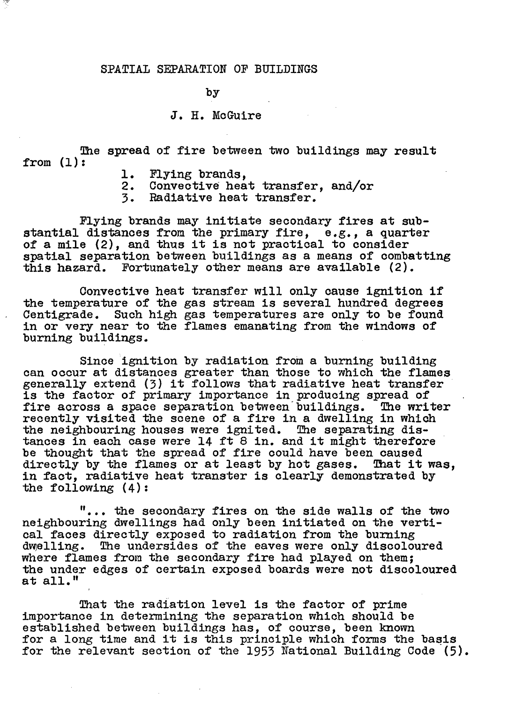#### **SPATIAL** SEPARATION OF BUILDINGS

 $by$ 

#### J. H. McGuire

The spread of fire between two buildings may result from (1) :

- 
- 1. Flying brands,<br>2. Convective heat 2. Convective heat transfer, and/or<br>3. Radiative heat transfer.
- **3.** Radiative heat transfer.

Flying brands may initiate secondary fires at substantial distances from the primary fire, **e.g.,** a quarter of a mile **(2),** and thus it is not practical to consider spatial separation between buildings as a means of combatting this hazard. Fortunately other means are available (2).

Convective heat transfer will only cause ignition if<br>the temperature of the gas stream is several hundred degrees Centigrade. Such high gas temperatures are only to be found in or very near to the flames emanating from the windows of burning buildings.

Since ignition by radiation from a burning building can occur at distances greater than those to which the flames generally extend **(3)** it follows that radiative heat transfer is the factor of primary importance in producing spread of<br>fire across a space separation between buildings. The writer fire across a space separation between buildings. recently visited the scene of a fire in a dwelling in which the neighbouring houses were ignited. The separating dis-tances in each case were 14 ft 8 in. and it might therefore be thought that the spread of fire could have been caused be thought that the spread of fire could have been caused<br>directly by the flames or at least by hot gases. That it was, directly by the france of at feast by not gases. That I'm<br>in fact, radiative heat transter is clearly demonstrated by<br>the following (4):

"... the secondary fires on the side walls of the **two**  neighbouring dwellings had only been initiated on the verti-<br>cal faces directly exposed to radiation from the burning dwelling. The undersides of the eaves were only discoloured where flames from the secondary fire had played on them; the under edges of certain exposed boards were not discoloured at all."

That -the radiation level is the factor of prime importance in determining the separation which should be established between buildings has, of course, been known for a long time and it is this principle which forms the basis for the relevant section of the 1953 National Building Code (5).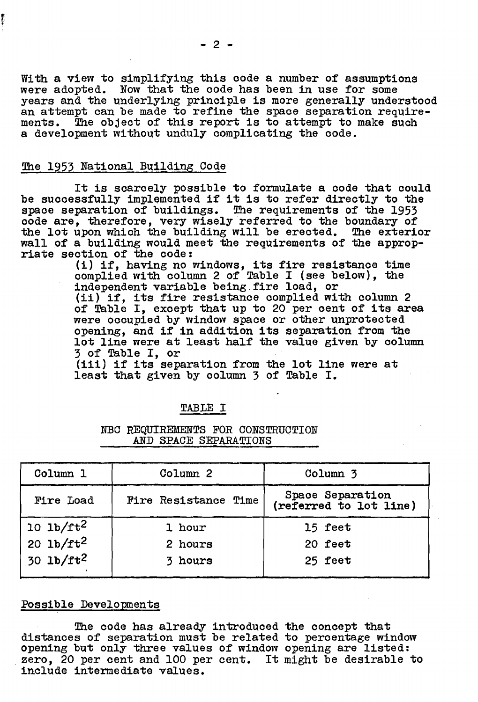With a view to simplifying this code a number of assumptions were adopted. Now that the code has been in use for some years and the underlying principle is more generally understood an attempt can be made to refine the space separation requirements. The object of this report is to attempt to make such a development without unduly complicating the code.

#### The 1953 National Building Code

医心理

It is scarcely possible to formulate a code that could be sucoessfully implemented if it is to refer directly to the space separation of buildings. The requirements of the 1953 code are, therefore, very wisely referred to the boundary of the lot upon which the building will be erected. The exterior wall of a building would meet the requirements of the appropriate section of the code:

(i) if, having no windows, its fire resistance time (1) if, having no windows, its fire resistance time<br>complied with column 2 of Table I (see below), the independent variable being fire load, or

(ii) if, its fire resistance complied with column 2 of Table I, except that up to 20 per cent of its area<br>were occupied by window space or other unprotected opening, and if in addition its separation from the lot line were at least half the value given by column 3 of Table I, or

(iii) if its separation from the lot line were at least that given by column 3 of Table I.

#### **TABLE I**

#### NBC REQUIREMENTS FOR CONSTRUCTION AND SPACE SEPARATIONS

| Column 1             | Column <sub>2</sub>         | Column <sub>3</sub>                        |
|----------------------|-----------------------------|--------------------------------------------|
| Fire Load            | <b>Fire Resistance Time</b> | Space Separation<br>(referred to lot line) |
| $10 \text{ lb/ft}^2$ | 1 hour                      | 15 feet                                    |
| $20 \text{ lb/ft}^2$ | 2 hours                     | 20 feet                                    |
| $30 \text{ lb/ft}^2$ | 3 hours                     | 25 feet                                    |

#### Possible Developments

The code has already introduced the concept that distances of separation must be related to percentage window opening but only three values of window opening are listed: zero, 20 per cent and 100 per cent. It **might** be desirable to include intermediate values.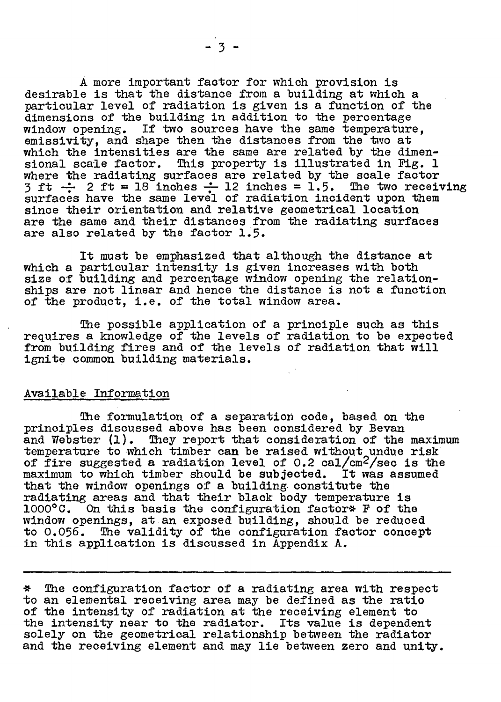A more important factor for which provision is desirable is that the distance from a building at which a particular level of radiation is given is a function of the dimensions of the building in addition to the percentage window opening. If two sources have the same temperature. emissivity, and shape then the distances from the two at which the intensities are the same are related by the dimenwhich the intensities are the same are related by the dimen-<br>sional scale factor. This property is illustrated in Fig. 1 where the radiating surfaces are related by the scale factor  $3$  ft  $\div$  2 ft = 18 inches  $\div$  12 inches = 1.5. The two receiving surfaces have the same level of radiation incident upon them since their orientation and relative geometrical location are the same and their distances from the radiating surfaces are also related by the factor 1.5.

It must be emphasized that although the distance at which a particular intensity is given increases with both size of building and percentage window opening the relationships are not linear and hence the distance is not a function of the product, i.e. of the total window **area.** 

The possible application of a principle such as this requires **s** knowledge of the levels of radiation to be expected from building fires and of the levels of radiation that will ignite common building materials.

#### Available Infoxmation

The formulation of a separation code, based on the principles discussed above has been considered by Bevan and Webster (1). They report that consideration of the maximum temperature to which timber can be raised without undue risk of fire suggested a radiation level of  $0.2$  cal/cm<sup>2</sup>/sec is the maximum to which timber should be subjected. It was assumed maximum to which timber should be subjected. that the window openings of a building constitute the radiating areas and that their black body temperature is 1000°C. On this basis the configuration factor\* F of the  $\overline{a}$  on this basis the configuration factor\* F of the window openings, at an exposed building, should be reduced to 0.056. The validity of the configuration factor concept in this application is discussed in Appendix A.

\* The configuration factor of a radiating area with respect to an elemental receiving area may be defined as the ratio of the intensity of radiation at the receiving element to the intensity near to the radiator. Its value is dependent solely on the geometrical relationship between the radiator and the receiving element and may lie between zero and unity.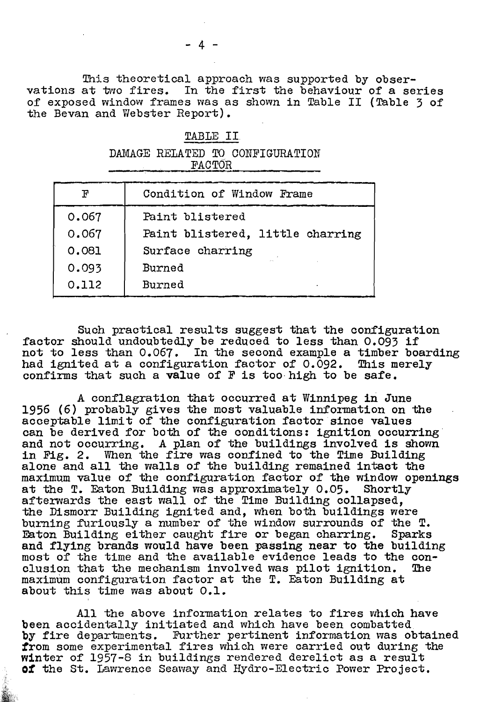This theoretical approach was supported by obser-<br>vations at two fires. In the first the behaviour of a se In the first the behaviour of a series. of exposed window frames was as shown in Table II (Table 3 of the Bevan and Webster Report).

#### TABLE **11.**

|  |               | DAMAGE RELATED TO CONFIGURATION |
|--|---------------|---------------------------------|
|  | <b>FACTOR</b> |                                 |
|  |               |                                 |

| ${\bf F}$ | Condition of Window Frame        |
|-----------|----------------------------------|
| 0.067     | Paint blistered                  |
| 0.067     | Paint blistered, little charring |
| 0.081     | Surface charring                 |
| 0.093     | Burned                           |
| 0.112     | Burned                           |

Such practical results suggest that the configuration factor should undoubtedly be reduced to less than 0.093 if not to less than 0.067. In the second example a timber boarding had ignited at a configuration factor of 0.092. This merely confirms that such a value of **I?** is too.high to be safe.

**<sup>A</sup>**conflagration that occurred at Winnipeg in June 1956 (6) probably gives the most valuable information on the acceptable limit of the configuration factor since values can be derived for both of the conditions: ignition occurring can be derived for both of the conditions: ignition occurring and not occurring. A plan of the buildings involved is shown in Fig. 2. When the fire was confined to the Time Building alone and all the walls of the building remained intact the alone and all the walls of the building remained intact the maximum value of the configuration factor of the window openings at the T. Eaton Building was approximately  $0.05$ . Shortly afterwards the east wall of the Time Building collapsed, the Dismorr Building ignited and, when both buildings were burning furiously a number of the window surrounds of the **T.**  and flying brands would have been passing near to the building most of the time and the available evidence leads to the con-<br>clusion that the mechanism involved was pilot ignition. The clusion that the mechanism involved was pilot ignition. maximum configuration factor at the T. Eaton Building at about this time **was** about 0.1.

All the above information relates to fires which have been aacidentally initiated and which have been combatted by fire departments. Further pertinent information was obtained from some experimental fires which were carried out during the winter of 1957-6 in buildings rendered derelict as a result **of** the St. Iawrence **Seamay** and Hydro-Electric Power Project.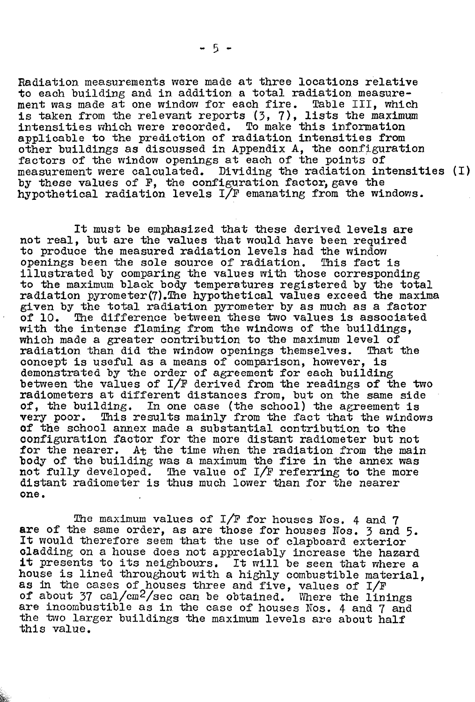Radiation. measurements were made at three locations relative to each building and in addition a total radiation measurement was made at one window for each fire. is taken **from** the relevant reports **(3,** 7), lists the maximum intensities which were recorded. To make this information applicable to the prediction of radiation intensities from other buildings as discussed in Appendix **A,** the configuration factors of the window openings at each of the points of measurement were calculated. Dividing the radiation intensities (I) by these values of F, the configuration factor, gave the hypothetical radiation levels **I/F** emanating from the windows.

It must be emphasized that these derived levels are not real, but are tho values that would have been required to produce the measured radiation levels had the window<br>openings been the sole source of radiation. This fact is openings been the sole source of radiation. illustrated by comparing the values with those corresponding to the maximum black body temperatures registered by the total radiation pyrometer(7). The hypothetical values exceed the maxima given by the total radiation pyrometer by as much as a factor<br>of 10. The difference between these two values is associated The difference between these two values is associated with the intense flaming from the windows of the buildings,<br>which made a greater contribution to the maximum level of<br>radiation than did the window openings themselves. That the radiation than did the window openings themselves. concept is useful as a means of comparison, however, is demonstrated by the order of agreement for each building between the values of I/F derived from the readings of the two radiometers at different distances from, but on the same **side**  of, the building. In one case (the school) the agreement is **very** poor. mis results mainly from the fact that the windows of the school annex made a substantial contribution to the oonfiguration factor for the more distant radiometer but not for the nearer. **At** the time when the radiation from the main body of the building was a maximum the fire in the annex was not fully developed. The value of **I/F** refexring to the more distant radiometer is thus much lower than for **the** nearer one.

The maximum values of I/F for houses Nos. 4 and 7 are of the same order, as are those for houses Nos. 3 and 5. It would therefore seem that the use of clapboard exterior oladding on a house does not appreciably increase the hazard it presents to its neighbours. It mill **be** seen that where a house is lined throughout with a highly combustible material, as in the cases of houses three and five, values of I/F of about  $37$  cal/cm<sup>2</sup>/sec can be obtained. Where the linings are incombustible as in the case of houses Nos. 4 and 7 and **the two** larger buildings the maximum levels **are** about half **this** value.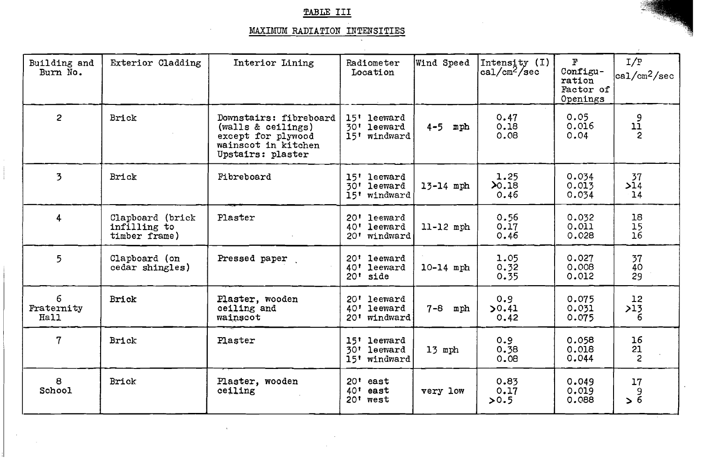## **TABLE III**

## MAXIMUM RADIATION INTENSITIES

| Building and<br>Burn No. | Exterior Cladding                                 | Interior Lining                                                                                                | Radiometer<br>Location                        | Wind Speed     | Intensity $(1)$<br>$ca1/cm^2/sec$ | F<br>Configu-<br>ration<br>Factor of<br>Openings | I/F<br>$ ca1/cm^2/sec$                      |
|--------------------------|---------------------------------------------------|----------------------------------------------------------------------------------------------------------------|-----------------------------------------------|----------------|-----------------------------------|--------------------------------------------------|---------------------------------------------|
| $\overline{2}$           | Brick                                             | Downstairs: fibreboard<br>(walls & ceilings)<br>except for plywood<br>wainscot in kitchen<br>Upstairs: plaster | 15' leeward<br>30' leeward<br>windward<br>15! | $4-5$ mph      | 0.47<br>0.18<br>0.08              | 0.05<br>0.016<br>0.04                            | $\begin{array}{c} 9 \\ 11 \\ 2 \end{array}$ |
| 3                        | Brick                                             | Fibreboard                                                                                                     | 15' leeward<br>30' leeward<br>15' windward    | 13-14 mph      | 1.25<br>20.18<br>0.46             | 0.034<br>0.013<br>0.034                          | 37<br>>14<br>14                             |
| $\overline{4}$           | Clapboard (brick<br>infilling to<br>timber frame) | Plaster                                                                                                        | 20' leeward<br>40' leeward<br>20' windward    | $11-12$ mph    | 0.56<br>0.17<br>0.46              | 0.032<br>0.011<br>0.028                          | 18<br>$\frac{15}{16}$                       |
| 5                        | Clapboard (on<br>cedar shingles)                  | Pressed paper                                                                                                  | 20' leeward<br>40' leeward<br>$20'$ side      | $10 - 14$ mph  | 1.05<br>0.32<br>0.35              | 0.027<br>0.008<br>0.012                          | 37<br>40<br>29                              |
| 6<br>Fraternity<br>Hall  | Brick                                             | Plaster, wooden<br>ceiling and<br>wainscot                                                                     | 20' leeward<br>40' leeward<br>20' windward    | $7 - 8$<br>mph | 0.9<br>50.41<br>0.42              | 0.075<br>0.031<br>0.075                          | 12<br>>13<br>6                              |
| 7                        | Brick                                             | Plaster                                                                                                        | 15' leeward<br>30' leeward<br>15' windward    | 13 mph         | 0.9<br>0.38<br>0.08               | 0.058<br>0.018<br>0.044                          | 16<br>21<br>$\overline{c}$                  |
| 8<br>School              | Brick                                             | Plaster, wooden<br>ceiling                                                                                     | $20t$ east<br>$40'$ east<br>20' west          | very low       | 0.83<br>0.17<br>>0.5              | 0.049<br>0.019<br>0.088                          | 17<br>9<br>> 6                              |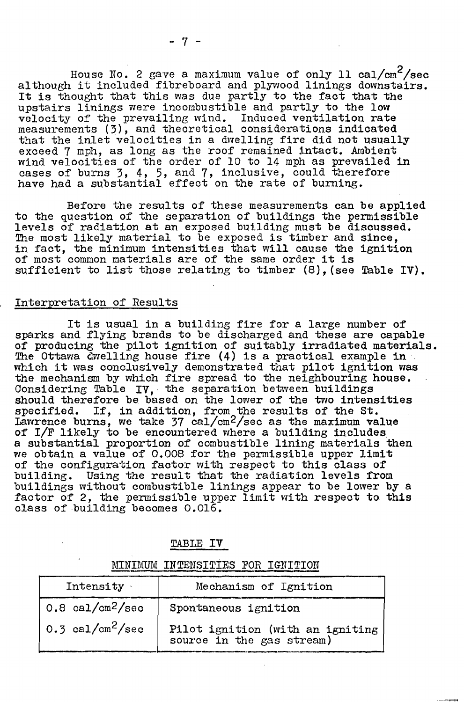House No. 2 gave a maximum value of only 11 cal/cm<sup>2</sup>/sec although it included fibreboard and plywood linings downstairs. It is thought that this was due partly to the fact that the upstairs linings were incoubustible and partly to the low velocity of the prevailing wind, Induced ventilation rate measurements *(3),* and theoretical considerations indicated that the inlet velocities in a dwelling fire did not usually exceed 7 mph, as long as the roof remained intact. Ambient wind velocities of the order of 10 to **14** rnph as prevailed in cases of burns 3, 4, 5, and 7, inclusive, could therefore have had a substantial effect on the rate of burning,

Before the results of these measurements can be applied<br>to the question of the separation of buildings the permissible to the question of the separation of buildings the permissible levels of radiation at an exposed building must be discussed. The most likely material to be exposed is timber and since, in fact, the minimum intensities that will cause the ignition of most common materials are of the same order it is sufficient to list those relating to timber  $(8)$ . (see Table IV).

#### Interpretation of Results

It is usual in a building fire for a large number of sparks and flying brands to be discharged and these are capable of producing the pilot ignition of suitably irradiated materials. **!he** Ottawa &felling house fire (4) is a practical example in which it was conclusively demonstrated that pilot ignition was the mechanism by which fire spread to the neighbouring house. Considering Table IV, the separation between buildings<br>should therefore be based on the lower of the two intensities should mercrore be based on the rewer or the two filtens. Lawrence burns, we take 37 cal/cm<sup>2</sup>/sec as the maximum value of I/F likely to be encountered where a building includes a substantial proportion of combustible lining materials then we obtain a value of 0.008 for the permissible upper limit of the configuration factor with respect to this class of building, Using the result that the radiation levels from buildings without combustible linings appear to be lower by a factor of 2, the permissible upper limit with respect to this class of building becomes 0,016.

| TABLE |  |  |
|-------|--|--|
|       |  |  |

|                                | IMUM INTENSITIES FOR IGNITION                                 |
|--------------------------------|---------------------------------------------------------------|
| Intensity .                    | Mechanism of Ignition                                         |
| $0.8$ cal/cm <sup>2</sup> /sec | Spontaneous ignition                                          |
| 0.3 cal/cm <sup>2</sup> /sec   | Pilot ignition (with an igniting<br>source in the gas stream) |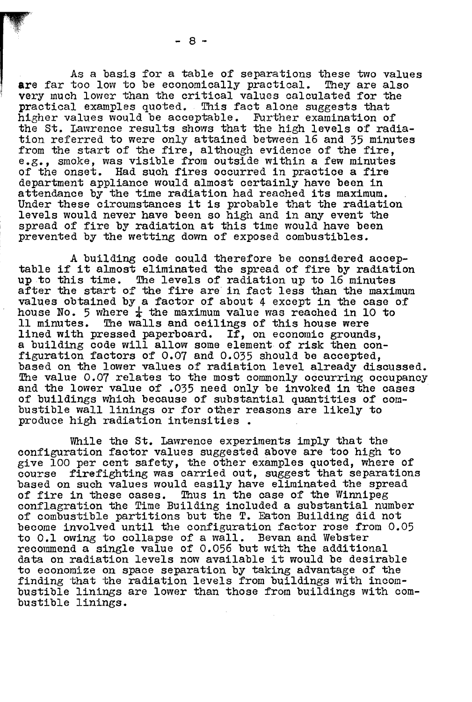**As** *a* basis for a table of separations these two values are far too low to be economically practical. They are also **very** much lower than the critical values calculated for the practical examples quoted. This fact alone suggests that higher values would be accoptable. Further examination of the St. Lawrence results **shows** that the high levels of radiation referred to were only attained between 16 and 35 minutes from the start of the fire, although evidence of the fire, e.g., smoke, was visible from outside within a few minutes of the onset. Had such fires occurred in practice a fire department appliance would almost certainly have been in attendance by the time radiation had reached its maximum. Under these circumstances it is probable that the radiation levels would never have been so high and in any event the spread of fire by radiation at this time would have been prevented by the wetting down of exposed combustibles.

**<sup>A</sup>**building code could therefore be considered accep- table if it almost eliminated the spread of fire by radiation up to this time. !be levels of radiation up to 16 minutes after the start of the fire are in fact less than the maximum values obtained by a factor of about 4 except in the case of house No. 5 where  $\frac{1}{4}$  the maximum value was reached in 10 to 11 minutes. The walls and ceilings of this house were The walls and ceilings of this house were lined with pressed paperboard. If, on economic grounds, a building code will allow some element of risk then configuration factors of 0.07 and 0.035 should be accepted, based on the lower values of radiation level already discussed.<br>The value 0.07 relates to the most commonly occurring occupancy and the lower value of .035 need only be invoked in the cases of buildings which because of substantial quantities of combustible wall linings or for other reasons are likely to produce high radiation intensities .

While the St. Lawrence experiments imply that the configuration factor values suggested above are too high to give 100 per cent safety, the other examples quoted, where of course firefighting was carried out, suggest that separations based on such values would easily have eliminated the spread of fire in these cases. Thus in the case of the Winnipeg conflagration the Time Building included a substantial number of combustible partitions but the **T.** Eaton Building did not become involved until the configuration factor rose from 0.05 to 0.1 owing to collapse of a wall. Bevan and Webster recommend a single value of 0.056 but with the additional data on radiation levels now available it would be desirable to economize on space separation by taking advantage of the finding that the radiation levels from buildings with incombustible linings are lower than those from buildings with combustible linings.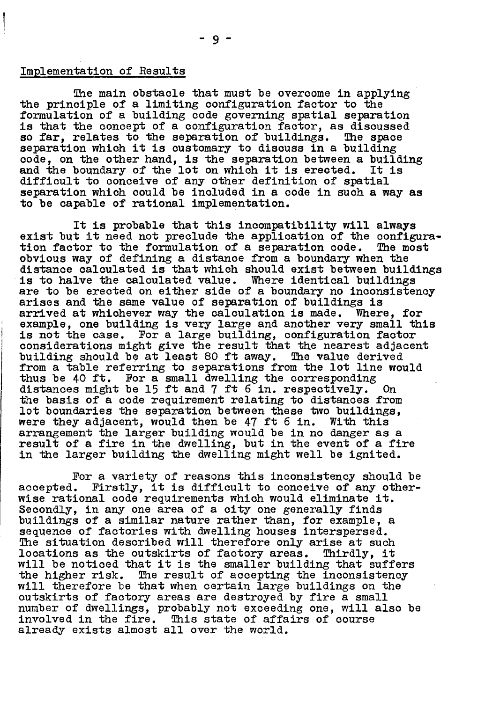#### Implementation of Results

The main obstacle that must be overcome in applying<br>the principle of a limiting configuration factor to the<br>formulation of a building code governing spatial separation is that the concept of a configuration factor, as discussed so far, relates to the separation of buildings. The space separation which it is customary to discuss in a building<br>code, on the other hand, is the separation between a building<br>and the boundary of the lot on which it is erected. It is difficult to conceive of any other definition of spatial separation which could be included in a code in such a way as to be capable of rational implementation.

It is probable that this incompatibility will always<br>exist but it need not preclude the application of the configura-<br>tion factor to the formulation of a separation code. The most obvious way of defining a distance from a boundary when the distance calculated is that which should exist between buildings<br>is to halve the calculated value. Where identical buildings are to be erected on either side of a boundary no inconsistency arises and the same value of separation of buildings is arrived at whichever way the calculation is made. Where, for example, one building is very large and another very small this is not the case. For a large building, configuration factor considerations might give the result that the nearest adjacent building should be at least 80 ft away. The value derived from a table referring to separations from the lot line would thus be 40 ft, For a small dwelling the corresponding distances might be 15 ft and 7 ft 6 in. respectively. On the basis of a code requirement relating to distances from lot boundaries the separation between these two buildings, were they adjacent, would then be 47 ft 6 in. With this arrangement the larger building would be in no danger as a result of a fire in the dwelling, but in the event of a fire in the larger building the dwelling might well be ignited.

For a variety of reasons this inconsistency should be accepted. Firstly, it is difficult to conceive of any other-Firstly, it is difficult to conceive of any otherwise rational code requirements which would eliminate it. Secondly, in any one area of a city one generally finds buildings of a similar nature rather than, for example, a sequence of factories with dwelling houses interspersed. The situation described will therefore only arise at such<br>locations as the outskirts of factory areas. Thirdly, it locations as the outskirts of factory areas. will be noticed that it is the smaller building that suffers the higher risk. The result of accepting the inconsistency will therefore be that when certain large buildings on the outskirts of factory areas are destroyed by fire a small number of dwellings, probably not exceeding one, will also be involved in the fire. This state of affairs of course already exists almost all over the world.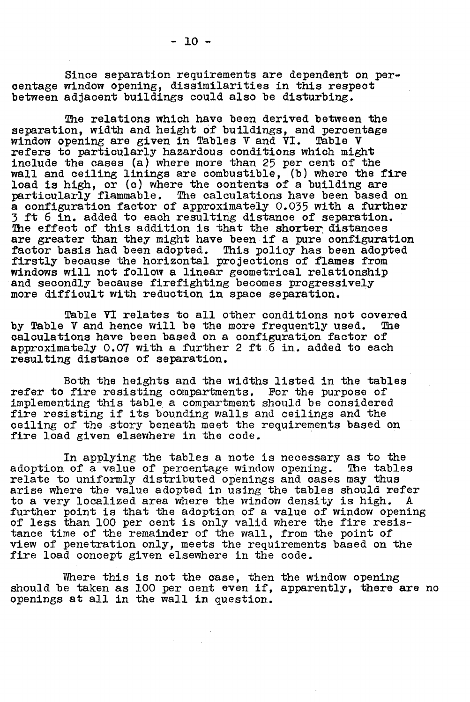Since separation requirements are dependent on peroentage window opening, dissimilarities in this respect between adjacent buildings could also be disturbing,

The relations which have been derived between the<br>separation, width and height of buildings, and percentage window opening are given in Tables V and VI. Table V refers to particularly hazardous conditions which might include the cases **(a)** where more than 25 per cent of the wall and ceiling linings are combustible, (b) where the fire load is high, or (c) where the contents of a building are particularly flammable. **The** calculations have been based on a configuration factor of approximately 0.035 with a further 3 ft 6 in. added to each resulting distance of separation.<br>The effect of this addition is that the shorter distances<br>are greater than they might have been if a pure configuration factor basis had been adopted. This policy has been adopted<br>firstly because the horizontal projections of flames from windows will not follow a linear geometrical relationship and secondly because firefighting becomes progressively more difficult with reduction in space separation.

Table **VI** relates to all other conditions not covered by Table V and hence will be the more frequently used. calculations have been based on a configuration factor of approximately O,O7 with a further 2 ft 6 in. **added** to each resulting distance of separation.

Both the heights and the widths listed in the tables<br>refer to fire resisting compartments. For the purpose of implementing this table a compartment should be considered fire resisting if its bounding walls and ceilings and the ceiling of the story beneath meet the requirements based on fire load given elsewhere in the code.

In applying the tables a note is necessary as to the lost of a value of percentage window opening. The tables adoption of a value of percentage window opening. relate to uniformly distributed openings and cases may thus arise where the value adopted in using the tables should refer<br>to a very localized area where the window density is high. A to a very localized area where the window density is high. **<sup>A</sup>** further point is that the adoption of a value of window opening of less than 100 per cent is only valid where the fire resistance time of the remainder of the wall, from the point of view of penetration only, meets the requirements based on the fire load concept given elsewhere in the code.

Where this is not the case, then the window opening<br>should be taken as 100 per cent even if, apparently, there are no openings at all in the wall in question..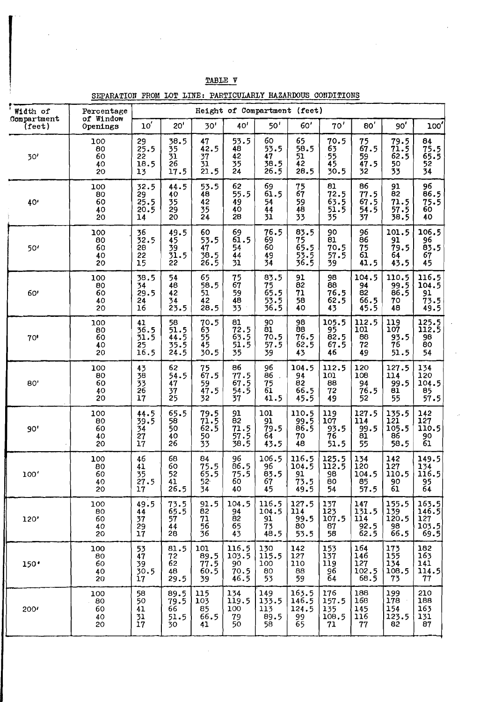| TABLE V               |                                                                           |                                             |                                                               |                                                                                 |                                           |                                                             |                                           |                                    |                                           |                                      |                                                 |
|-----------------------|---------------------------------------------------------------------------|---------------------------------------------|---------------------------------------------------------------|---------------------------------------------------------------------------------|-------------------------------------------|-------------------------------------------------------------|-------------------------------------------|------------------------------------|-------------------------------------------|--------------------------------------|-------------------------------------------------|
| Width of              | SEPARATION FROM LOT LINE: PARTICULARLY HAZARDOUS CONDITIONS<br>Percentage |                                             |                                                               |                                                                                 |                                           | Height of Compartment (feet)                                |                                           |                                    |                                           |                                      |                                                 |
| Compartment<br>(feet) | of Window<br>Openings                                                     | $10^{\prime}$                               | 20'                                                           | 30'                                                                             | 40'                                       | 50'                                                         | 60'                                       | 70'                                | 80'                                       | 90'                                  | 100'                                            |
| 30'                   | 100<br>80<br>60<br>40<br>20                                               | 29<br>25.5<br>22<br>18.5<br>13              | 38.5<br>35<br>31<br>26<br>17.5                                | 47<br>42.5<br>-37<br>31<br>21.5                                                 | 53.5<br>48<br>42<br>35<br>24              | 60<br>53.5<br>47<br>38.5<br>26.5                            | 65<br>58.5<br>51<br>42<br>28.5            | 70.5<br>63<br>55<br>45<br>30.5     | $75$<br>67.5<br>59<br>47.5<br>32          | $79.5$<br>$71.5$<br>62.5<br>50<br>33 | 84<br>$75.5$<br>$65.5$<br>52<br>$\overline{34}$ |
| 40'                   | 100<br>80<br>60<br>40<br>20                                               | 32.5<br>29<br>25.5<br>20.5<br>14            | 44.5<br>40<br>35<br>29<br>20                                  | 53.5<br>48<br>42<br>35<br>24                                                    | 62<br>55.5<br>49<br>40<br>28              | 69<br>61.5<br>54<br>44<br>31                                | 75<br>67<br>59<br>48<br>33                | 81<br>72.5<br>63.5<br>51.5<br>35   | 86<br>77.5<br>67.5<br>54.5<br>37          | 91<br>82<br>71.5<br>57.5<br>38.5     | 96<br>86.5<br>75.5<br>60<br>40                  |
| 50'                   | 100<br>80<br>60<br>40<br>20                                               | 36<br>32.5<br>28<br>22<br>15                | 49.5<br>45<br>39<br>31.5<br>22                                | 60<br>53.5<br>47<br>38.5<br>26.5                                                | 69<br>$6\overline{1}.5$<br>54<br>44<br>31 | 76.5<br>69<br>60<br>49<br>34                                | 83.5<br>75<br>65.5<br>$\frac{53.5}{36.5}$ | 90<br>81<br>70.5<br>57.5<br>39     | 96<br>86<br>75<br>61<br>41.5              | 101.5<br>91<br>79.5<br>64<br>43.5    | 106.5<br>96<br>83.5<br>67<br>45                 |
| 60'                   | 100<br>80<br>60<br>40<br>20                                               | 38.5<br>34<br>29.5<br>24<br>$\overline{16}$ | 54<br>48<br>42<br>34<br>23.5                                  | 65<br>58.5<br>51<br>42<br>28.5                                                  | 75<br>67<br>59<br>48<br>33                | 83.5<br>75<br>65.5<br>53.5<br>36.5                          | 91<br>$\overline{8}2$<br>71<br>58<br>40   | 98<br>88<br>76.5<br>62.5<br>43     | 104.5<br>94<br>82<br>66.5<br>45.5         | 110.5<br>99.5<br>86.5<br>70<br>48    | 116.5<br>104.5<br>91<br>73.5<br>49.5            |
| 70'                   | 100<br>80<br>60<br>40<br>20                                               | 41<br>36.5<br>31.5<br>25<br>16.5            | 58<br>51.5<br>$44.5$<br>35.5<br>24.5                          | 70.5<br>63<br>55<br>45<br>30.5                                                  | 81<br>72.5<br>63.5<br>51.5<br>35          | 90<br>$\overline{31}$<br>70.5<br>57.5<br>39                 | 98<br>88<br>76.5<br>62.5<br>43            | 105.5<br>95<br>82.5<br>67.5<br>46  | 112.5<br>101<br>88<br>72<br>49            | 119<br>107<br>93.5<br>76<br>51.5     | 125.5<br>112.5<br>98<br>80<br>54                |
| 80'                   | 100<br>80<br>60<br>40<br>20                                               | 43<br>38<br>$\frac{33}{26}$<br>17           | 62<br>54.5<br>47<br>37<br>25                                  | 75<br>67.5<br>59<br>47.5<br>32                                                  | 86<br>77.5<br>67.5<br>54.5<br>37          | 96<br>86<br>$\begin{array}{c} 75 \\ 61 \end{array}$<br>41.5 | 104.5<br>94<br>82<br>66.5<br>45.5         | 112.5<br>101<br>88<br>72<br>49     | 120<br>108<br>94<br>76.5<br>52            | 127.5<br>114<br>99.5<br>81<br>55     | 134<br>120<br>104.5<br>85<br>57.5               |
| 90'                   | 100<br>80<br>60<br>40<br>20                                               | 44.5<br>39.5<br>34<br>27<br>17              | 65.5<br>58<br>50<br>40<br>26                                  | 79.5<br>$71.5$<br>62.5<br>50<br>33                                              | 91<br>82<br>71.5<br>57.5<br>38.5          | 101<br>91<br>79.5<br>64<br>43.5                             | 110.5<br>$99.5$<br>86.5<br>70<br>48       | 119<br>107<br>93.5<br>76<br>51.5   | 127.5<br>114<br>99.5<br>81<br>55          | 135.5<br>121<br>105.5<br>86<br>58.5  | 142<br>127<br>110.5<br>90<br>61                 |
| 100'                  | 100<br>80<br>60<br>40<br>20                                               | 46<br>41<br>35<br>27.5<br>$\overline{17}$   | 68<br>60<br>52<br>41<br>26.5                                  | 84<br>75.5<br>65.5<br>$52 -$<br>$\overline{34}$                                 | 96<br>86.5<br>75.5<br>60<br>40            | 106.5<br>96<br>83.5<br>67<br>45                             | 116.5<br>104.5<br>91<br>$73.5$<br>49.5    | 125.5<br>112.5<br>98<br>80<br>54   | 134<br>120<br>104.5<br>$85 - 5$           | 142<br>127<br>110.5<br>90<br>61      | 149.5<br>134<br>116.5<br>95<br>64               |
| 120'                  | 100<br>80<br>60<br>40<br>20                                               | 49.5<br>$\frac{44}{37}$<br>$\frac{29}{17}$  | 73.5<br>65.5<br>57<br>44<br>28                                | 91.5<br>82<br>71<br>56<br>36                                                    | 104.5<br>$\frac{94}{82}$<br>65<br>43      | 116.5<br>104.5<br>91<br>73<br>48.5                          | 127.5<br>114<br>99.5<br>80<br>53.5        | 137<br>123<br>107.5<br>87<br>58    | 147<br>131.5<br>114<br>92.5<br>62.5       | 155.5<br>139<br>120.5<br>98<br>66.5  | 163.5<br>$\frac{146.5}{127}$<br>103.5<br>69.5   |
| 150'                  | 100<br>80<br>60<br>40<br>20                                               | 53<br>47<br>39<br>30.5<br>17                | 81.5<br>$\begin{array}{c} 72 \\ 62 \end{array}$<br>48<br>29.5 | 101<br>89.5<br>77.5<br>60.5<br>39                                               | 116.5<br>103.5<br>90<br>70.5<br>46.5      | 130<br>115.5<br>100<br>80<br>53                             | 142<br>127<br>110<br>88<br>59             | 153<br>137<br>119<br>96<br>64      | 164<br>146<br>127<br>$\frac{102.5}{68.5}$ | 173<br>155<br>134<br>108.5<br>73     | 182<br>163<br>141<br>114.5<br>77                |
| 200'                  | 100<br>80<br>60<br>40<br>20                                               | 58<br>50<br>41<br>$\overline{31}$<br>17     | 89.5<br>79.5<br>66<br>51.5<br>30.                             | $\begin{array}{c} \textbf{115} \\ \textbf{103} \end{array}$<br>85<br>66.5<br>41 | 134<br>119.5<br>100<br>79<br>50           | 149<br>133.5<br>113<br>89.5<br>58.                          | 163.5<br>146.5<br>124.5<br>99<br>65       | 176<br>157.5<br>135<br>108.5<br>71 | 188<br>168<br>145<br>116<br>77            | 199<br>178<br>154<br>123.5<br>82     | 210<br>188<br>163<br>131<br>87                  |

**9.** 

TABLE V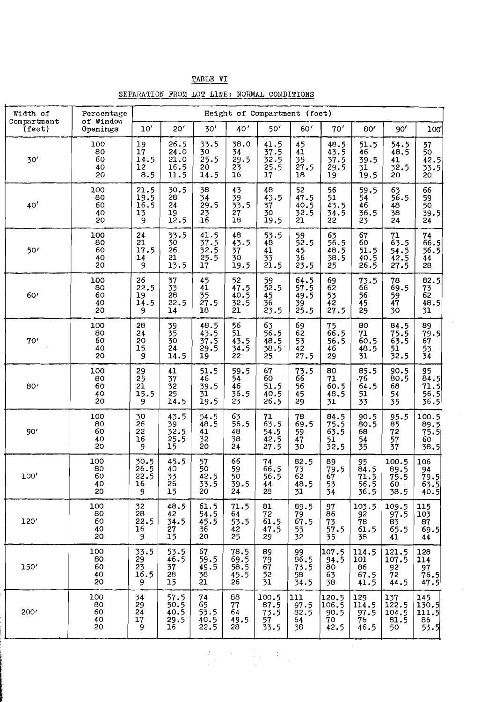| TABLE | -VT |
|-------|-----|
|       |     |

| SEPARATION FROM LOT LINE: NORMAL CONDITIONS |  |  | مستاذين وتقتلها التور والتجربون والتوارد والمائد والمستجوب بالمتاريخ والمتراكب فيتلبهما الاستعاد مستد التجالب مستبحا المستحددة |
|---------------------------------------------|--|--|--------------------------------------------------------------------------------------------------------------------------------|

| Width of                    | Percentage                               | Height of Compartment (feet)                        |                                               |                                           |                                           |                                        |                                           |                                                 |                                           |                                           |                                                                |
|-----------------------------|------------------------------------------|-----------------------------------------------------|-----------------------------------------------|-------------------------------------------|-------------------------------------------|----------------------------------------|-------------------------------------------|-------------------------------------------------|-------------------------------------------|-------------------------------------------|----------------------------------------------------------------|
| Compartment<br>$($ feet $)$ | of Window<br>Openings                    | 10'                                                 | 20'                                           | 30'                                       | 40'                                       | 50'                                    | 60'                                       | 70'                                             | 80'                                       | 90'                                       | 100'                                                           |
| 30'                         | 100<br>80<br>60<br>40<br>20              | 19<br>17<br>14.5<br>12<br>8.5                       | 26.5<br>24.0<br>21.0<br>16.5<br>11.5          | 33.5<br>30<br>25.5<br>20<br>14.5          | 38.0<br>34<br>29.5<br>$^{23}_{16}$        | 41.5<br>37.5<br>32.5<br>25.5<br>17     | 45<br>41<br>35<br>27.5<br>18              | 48.5<br>43.5<br>37.5<br>29.5<br>19 <sup>°</sup> | 51.5<br>46<br>39.5<br>31<br>19.5          | 54.5<br>48.5<br>41<br>32.5<br>20          | 57<br>50<br>$\begin{bmatrix} 42.5 \\ 33.5 \end{bmatrix}$<br>20 |
| 40'                         | 100<br>80<br>60<br>40<br>20              | 21.5<br>19.5<br>16.5<br>13<br>9                     | 30.5<br>28<br>24<br>19<br>12.5                | 38<br>$\overline{34}$<br>29.5<br>23<br>16 | 43<br>39<br>33.5<br>27<br>18              | 48<br>43.5<br>37<br>30<br>19.5         | 52<br>47.5<br>40.5<br>32.5<br>21          | 56<br>51<br>43.5<br>34.5<br>22                  | 59.5<br>54<br>46<br>36.5<br>23            | 63<br>56.5<br>48<br>38<br>24              | 66<br>59<br>50<br>39.5<br>24                                   |
| 50'                         | 100<br>80<br>60<br>40<br>20              | 24<br>21<br>17.5<br>14<br>9                         | 33.5<br>30<br>$\overline{2}6$<br>21<br>13.5   | 41.5<br>37.5<br>32.5<br>25.5<br>17        | 48<br>43.5<br>37<br>30<br>19.5            | 53.5<br>48<br>41<br>33<br>21.5         | 59<br>52.5<br>45<br>36<br>23.5            | 63<br>56.5<br>48.5<br>38.5<br>25                | 67<br>60<br>51.5<br>40.5<br>26.5          | 71<br>63.5<br>54.5<br>42.5<br>27.5        | 74<br>66.5<br>56.5<br>44<br>28                                 |
| 60 <sup>t</sup>             | 100<br>80<br>60<br>40<br>20              | 26<br>22.5<br>19<br>14.5<br>9                       | $\frac{37}{33}$<br>$\tilde{26}$<br>22.5<br>14 | 45<br>41<br>35<br>27.5<br>18              | 52<br>47.5<br>40.5<br>32.5<br>21          | 59<br>52.5<br>45<br>36<br>23.5         | 64.5<br>57.5<br>49.5<br>$\frac{39}{25.5}$ | 69<br>62<br>53<br>42<br>27.5                    | 73.5<br>66<br>56<br>45<br>29              | 78<br>69.5<br>59<br>47<br>30              | 82.5<br>73<br>62<br>48.5<br>31                                 |
| 70'                         | 100<br>80<br>60<br>40<br>20              | 28<br>24<br>20<br>15<br>9                           | 39<br>35<br>30<br>24<br>14.5                  | 48.5<br>43.5<br>37.5<br>29.5<br>19        | 56<br>51<br>43.5<br>34.5<br>22            | 63<br>56.5<br>48.5<br>38.5<br>25       | 69<br>62<br>53<br>42<br>27.5              | 75<br>66.5<br>56.5<br>46<br>29                  | 80<br>71<br>60.5<br>48.5<br>31            | 84.5<br>75.5<br>63.5<br>51<br>32.5        | 89<br>79.5<br>67<br>53<br>34                                   |
| 80'                         | 100<br>80<br>60<br>40<br>20              | 29<br>25<br>21<br>15.5<br>9                         | 41<br>$\overline{3}7$<br>32<br>25<br>14.5     | 51.5<br>46<br>39.5<br>31<br>19.5          | 59.5<br>54<br>46<br>36.5<br>23            | 67<br>60<br>51.5<br>40.5<br>26.5       | 73.5<br>66<br>56<br>45<br>29              | 80<br>71<br>60.5<br>48.5<br>31                  | 85.5<br>-76<br>64.5<br>51<br>33           | 90.5<br>80.5<br>68<br>54<br>35            | 95<br>84.5<br>71.5<br>56.5<br>36.5                             |
| 90'                         | 100<br>80<br>60<br>40<br>20              | 30<br>26<br>22<br>16<br>9                           | 43.5<br>39<br>52.5<br>25.5<br>15              | 54.5<br>48.5<br>41<br>32<br>20            | 63<br>56.5<br>48<br>38<br>24              | $^{71}_{63.5}$<br>54.5<br>42.5<br>27.5 | 78<br>69.5<br>59<br>47<br>30              | 84.5<br>75.5<br>63.5<br>51<br>32.5              | 90.5<br>80.5<br>68<br>54<br>35            | 95.5<br>$\overline{85}$<br>72<br>57<br>37 | 100.5<br>89.5<br>75.5<br>60<br>38.5                            |
| 100'                        | 100<br>80<br>60<br>40<br>20              | 30.5<br>26.5<br>22.5<br>16<br>9                     | 45.5<br>40<br>$\frac{33}{26}$<br>15           | 57<br>50<br>42.5<br>33.5<br>20            | 66<br>59<br>50<br>39.5<br>24              | 74<br>66.5<br>56.5<br>44<br>28         | 82.5<br>$^{73}_{62}$<br>48.5<br>31        | 89<br>79.5<br>67<br>53<br>54                    | 95<br>84.5<br>71.5<br>56.5<br>36.5        | 100.5<br>89.5<br>75.5<br>60<br>38.5       | 106<br>94<br>79.5<br>63.5<br>40.5                              |
| 120'                        | 100<br>80<br>60<br>40<br>20              | 32<br>28<br>22.5<br>16<br>9                         | 48.5<br>42<br>34.5<br>27<br>$\overline{15}$   | 61.5<br>54.5<br>45.5<br>36<br>20          | 71.5<br>64<br>53.5<br>42<br>25            | 81<br>72<br>61.5<br>47.5<br>29         | 89.5<br>79<br>67.5<br>53<br>32            | 97<br>86<br>73<br>57.5<br>35                    | 103.5<br>92<br>$\frac{78}{61.5}$<br>38    | 109.5<br>97.5<br>83<br>65.5<br>41         | 115<br>103<br>87<br>69.5<br>44                                 |
| 150'                        | 100<br>80<br>60<br>40<br>20              | 33.5<br>$\frac{29}{23}$<br>$\frac{23}{16}$ , 5<br>9 | 53.5<br>46.5<br>37<br>28<br>15                | 67<br>59.5<br>49.5<br>38<br>21            | 78.5<br>69.5<br>58.5<br>$\frac{45.5}{26}$ | 89<br>79<br>67<br>52<br>31             | 99<br>86.5<br>73.5<br>58<br>34.5          | 107.5<br>94.5<br>80<br>63<br>38                 | 114.5<br>101<br>86<br>67.5<br>41.5        | 121.5<br>107.5<br>92<br>72<br>44.5        | 128<br>114<br>$\frac{97}{76.5}$<br>47.5                        |
| 200'                        | 100<br>80<br>$\overline{60}$<br>40<br>20 | 34<br>29<br>24<br>17<br>9                           | 57.5<br>50.5<br>40.5<br>29.5<br>16            | $^{74}_{65}$<br>53.5<br>40.5<br>22.5      | 88<br>77<br>64<br>49.5<br>28              | 100.5<br>87.5<br>73.5<br>57<br>33.5    | 111<br>$97.5$<br>$82.5$<br>64<br>38       | 120.5<br>106.5<br>90.5<br>70<br>42.5            | 129<br>114.5<br>$\frac{97.5}{76}$<br>46.5 | 137<br>122.5<br>104.5<br>81.5<br>50       | 145<br>130.5<br>111.5<br>86<br>53.5                            |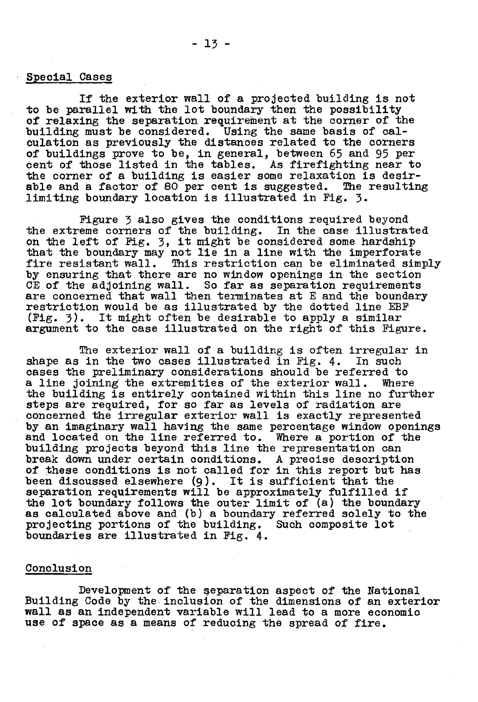#### Special Cases

If the exterior wall of a projected building is not to be parallel with the lot boundary then the possibility of relaxing the separation requirement at the corner of the building must be considered. Using the same basis of calculation as previously the distances related to the corners of buildings prove to be, in general, between 65 and 95 per cent of those listed in the tables. As firefighting near to the corner of a building is easier some relaxation is desirable and a factor of 80 per cent is suggested. The resulting limiting boundary location is illustrated in Fig. 3.

Figure 3 also gives the conditions required beyond the extreme corners of the building. In the case illustrated on the left of Fig. 3, it might be considered some hardship that the boundary may not lie in a line with the imperforate fire resistant wall. This restriction can be eliminated simply by ensuring that there are no window openings in the section CE of the adjoining wall. So far **as** separation requirements restriction would be as illustrated by the dotted line EBF (Fig. **3).** It might often be desirable to apply a similar argument to the case illustrated on the right of this Figure.

**The** exterior wall of a building is often irregular in shape as in the two cases illustrated in Fig.  $4.$ cases the preliminary considerations should be referred to a line joining the extremities of the exterior wall. Where the building is entirely contained within this line no further steps are required, for so far as levels of radiation are concerned the irregular exterior wall is exactly represented by an imaginary wall having the same percentage window openings and located on the line referred to. Where a portion of the building projects beyond this line the representation can break down under certain conditions. **A** precise description of these conditions is not called for in this report but has been discussed elsewhere **(9).** It is sufficient that the separation requirements will be approximately fulfilled if the lot boundary follows the outer limit of (a) the boundary as calculated above and (b) a boundary referred solely to the projecting portions of the building. Such composite lot boundaries are illustrated in Fie. 4.

### **Conclusion**

Development of the geparation aspect of the National Building Code by the inclusion of the dimensions of an exterior wall as an independent variable will lead to a more economic use of space as a means of reducing the spread of fire.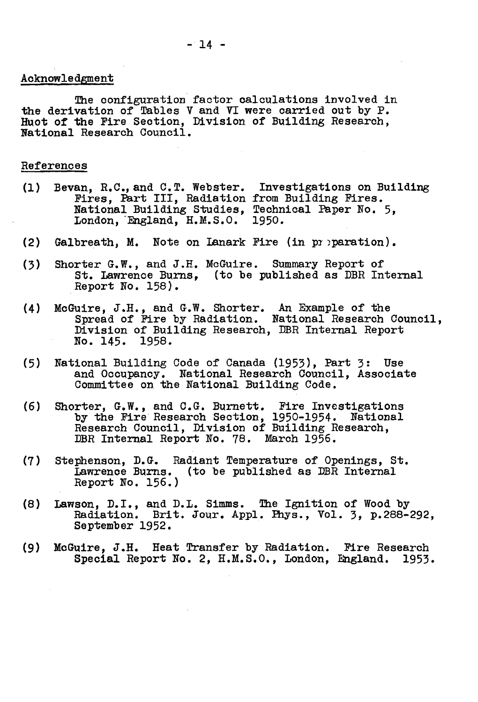#### Acknowledgment

The configuration factor oalculations involved in the derivation of Tables V and **VI** were carried out by P. Huot of the Fire Section, Division of Building Research, National Research Council.

#### References

- (1) Bevan, R.C., and C.T. Webster. Investigations on Building an, R.C., and C.T. webster. Investigations on Building Fires.<br>Fires, Part III, Radiation from Building Fires. National Building Studies, Technical Paper No. 5,<br>London, England, H.M.S.O. 1950.
- (2) Galbreath, **M.** Note on Lanark Fire (in pr ?paration).
- (3) Shorter G.W., and J.H. McGuire. Summary Report of St, Lawrence Burns, (to be published as DBR Internal Report No, 158).
- (4) McGuire, **J.H.,** and G.W. Shorter. **An** Example of the Spread of Fire by Radiation. National Research Council, Mvision of Building Research, DBR Internal Report No. 145. 1958.
- (5) National Building Code of Canada (1953), Part 3: Use and Occupancy. National Research Council, Associate Committee on. the National Building Code.
- (6) Shorter, G, W. , and C,G. Burnett. Fire Investigations by the Fire Research Section, 1950-1954. National Research Council, Division of Building Research, **DBR** Internal Report No. 78. March 1956.
- (7 ) Stephenson, D. G. Radiant Temperature of Openings, St. Lawrence Burns. (to be published as DBR Internal Report No. 156.)
- (8) Lawson, D,I., and **D.L,** Simms. The Ignition of Wood by Radiation. Brit. Jour. **Appl.** Phys., Vole 3, P.288-292, September 1952.
- **(9)** McGuire, J.H. Heat Transfer by Radiation, **Fire** Research Special Report No. 2, H.M.S.O,, London, England. 1953.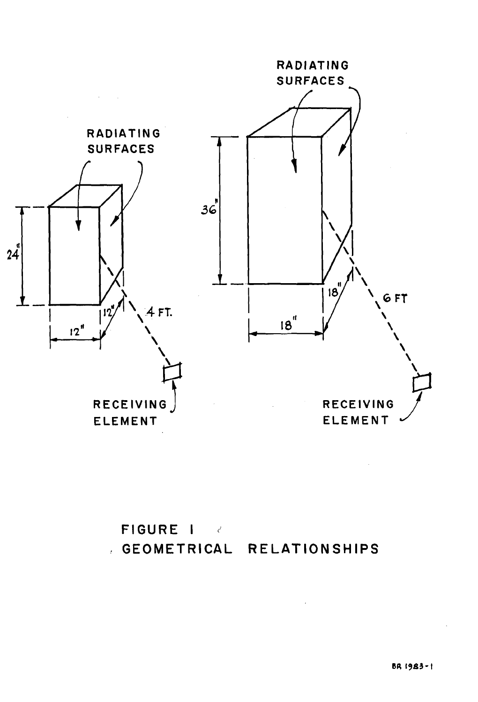

# **FIGURE I**  . **GEOMETRICAL RELATIONSHIPS**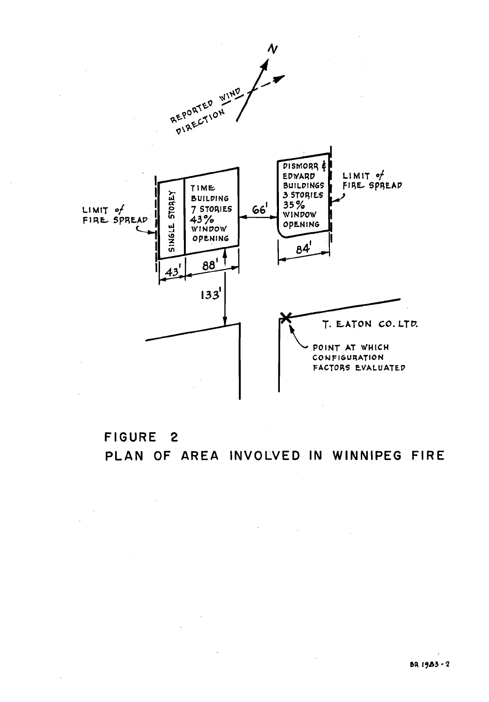

# **FIGURE 2 PLAN OF AREA INVOLVED IN WINNIPEG FIRE**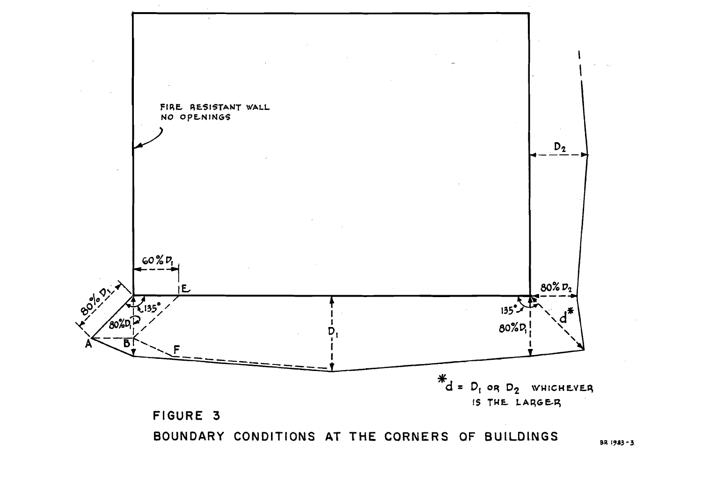

BR 1983-3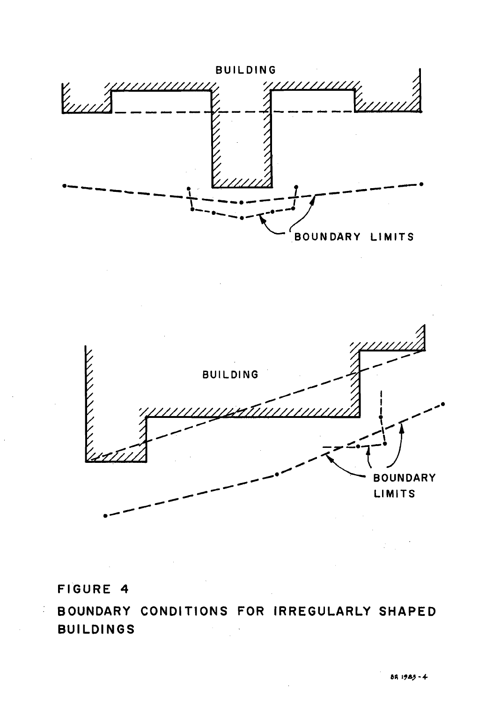



# **FIGURE 4**

Ĵ,

**BOUNDARY CONDITIONS FOR IRREGULARLY SHAPED BUILDINGS**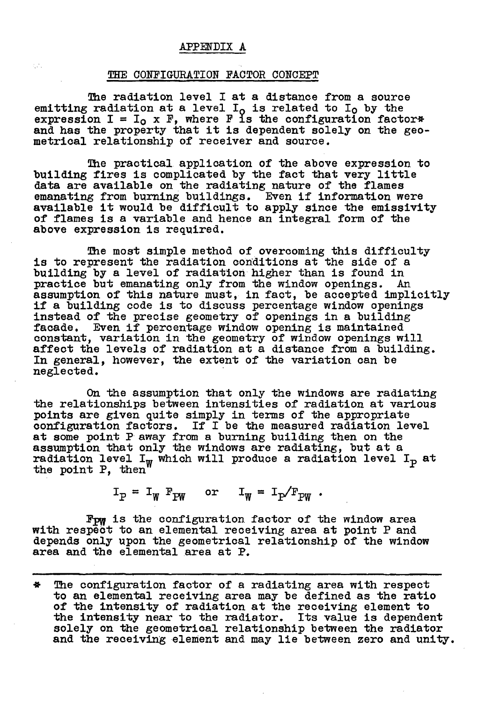#### **APPENDIX A**

#### THE CONFIGURATION FACTOR CONCEPT

ger.

The radiation level I at a distance from a source emitting radiation at a level  $I_0$  is related to  $I_0$  by the expression  $I = I_0$  x  $F$ , where  $F$  is the configuration factor\* and has the property that it is dependent solely on the geo- metrical relationship of receiver and source.

The practical application of the above expression to building fires is complicated by the fact that very little data are available on the radiating nature of the flames emanating from burning buildings. Even if information were available it would be difficult to apply since the emissivity of flames is a variable and hence an integral form of the above expression is required.

The most simple method of overcoming this difficulty is to represent the radiation coriditions at the side of a building by a level of radiation higher than is found in practice but emanating only from the window openings. An assumption of this nature must, in fact, be accepted implicitly if a building code is to discuss percentage window openings dif a building code is to discuss percentage window openings instead of the precise geometry of openings in a building facade. Even if percentage window opening is maintained constant, variation in the geometry of window openings will affect the levels of radiation at a distance from a building. In general, however, the extent of the variation can be neglected.

On the assumption that only the windows are radiating the relationships between intensities of radiation at various points are given quite simply in terms of the appropriate configuration factors. If I be the measured radiation level at some point P away from a burning building then on the asswnption that only the windows are radiating, but at a assumption that only the windows are radiating, but at a radiation level  $I_p$  at the point **P,** then

 $I_p = I_w F_{PW}$  or  $I_w = I_p/F_{PW}$ .

Fpw is the configuration factor of the window area with respect to an elemental receiving area at point P and depends only upon the geometrical relationship of the window area and the elemental area at **P.** 

**9** The configuration factor of a radiating area with respect to an elemental receiving area may be defined as the ratio of the intensity of radiation at the receiving element to the intensity near to the radiator. Its value is dependent solely on the geometrical relationship between the radiator and the receiving element and may lie between zero and unity.

-- -- -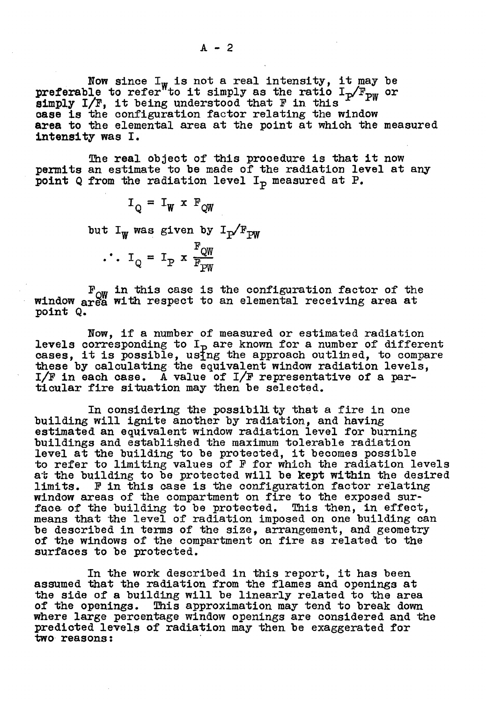Now since  $I_W$  is not a real intensity, it may be now since  $I_w$  is not a real intensity, it may be<br>preferable to refer to it simply as the ratio  $I_p/F_{pw}$  or preferable to refer to it simply as the ratio is<br>simply I/F, it being understood that F in this case is the configuration factor relating the window **area** to the elemental area at the point at which the measured **intensity** was I.

The real object of this procedure is that it now permits an estimate to be made of the radiation level at any point Q from the radiation level I<sub>p</sub> measured at P.

> $I_Q = I_W \times F_{QW}$ but  $I_w$  was given by  $I_p/F_{PW}$  $\therefore I_Q = I_P \times \frac{F_{QW}}{F_{PW}}$

F<sub>ow</sub> in this case is the configuration factor of the window area with respect to an elemental receiving area at point Q.

Now, if a number of measured or estimated radiation levels corresponding to  $I<sub>P</sub>$  are known for a number of different Levels corresponding to 1<sub>p</sub> are known for a number of different cases, it is possible, using the approach outlined, to compare these by calculating the equivalent window radiation levels, I/F in each case. **A** value of I/F representative of a particular fire situation may then be selected.

In considering the possibility that a fire in one building will ignite another by radiation, and having estimated an equivalent window radiation level for burning buildings and established the maximum tolerable radiation buildings and established the maximum tolerable radiation<br>level at the building to be protected, it becomes possible to refer to limiting values of P for which the radiation levels at the building to be protected will be kept within the desired limits. F in this case is the configuration factor relating window areas of the compartment on fire to the exposed surface of the building to be protected. This then, in effect, means that the level of radiation imposed on one building can be described in terms of the size, arrangement, and geometry of the windows of the compartment on fire as related to the surfaces to be protected.

In the work described in this report, it has been assumed that the radiation from the flames and openings at the side of a building will be linearly related to the area<br>of the openings. This approximation may tend to break down This approximation may tend to break down where large percentage window openings are considered and the predicted levels of radiation may then be exaggerated for two reasons: